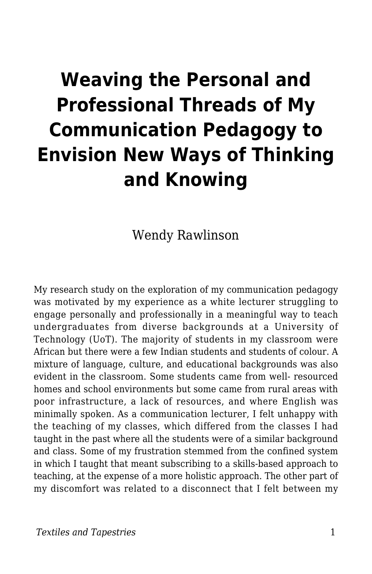# **Weaving the Personal and Professional Threads of My Communication Pedagogy to Envision New Ways of Thinking and Knowing**

Wendy Rawlinson

My research study on the exploration of my communication pedagogy was motivated by my experience as a white lecturer struggling to engage personally and professionally in a meaningful way to teach undergraduates from diverse backgrounds at a University of Technology (UoT). The majority of students in my classroom were African but there were a few Indian students and students of colour. A mixture of language, culture, and educational backgrounds was also evident in the classroom. Some students came from well- resourced homes and school environments but some came from rural areas with poor infrastructure, a lack of resources, and where English was minimally spoken. As a communication lecturer, I felt unhappy with the teaching of my classes, which differed from the classes I had taught in the past where all the students were of a similar background and class. Some of my frustration stemmed from the confined system in which I taught that meant subscribing to a skills-based approach to teaching, at the expense of a more holistic approach. The other part of my discomfort was related to a disconnect that I felt between my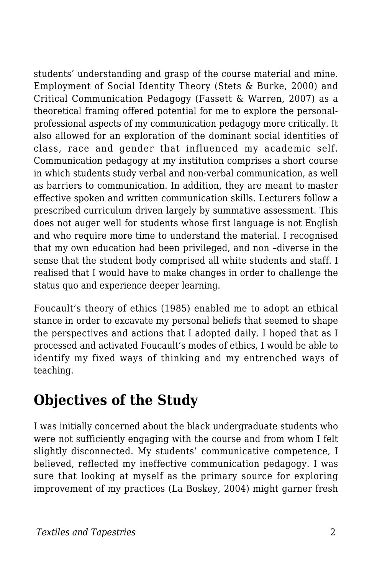students' understanding and grasp of the course material and mine. Employment of Social Identity Theory (Stets & Burke, 2000) and Critical Communication Pedagogy (Fassett & Warren, 2007) as a theoretical framing offered potential for me to explore the personalprofessional aspects of my communication pedagogy more critically. It also allowed for an exploration of the dominant social identities of class, race and gender that influenced my academic self. Communication pedagogy at my institution comprises a short course in which students study verbal and non-verbal communication, as well as barriers to communication. In addition, they are meant to master effective spoken and written communication skills. Lecturers follow a prescribed curriculum driven largely by summative assessment. This does not auger well for students whose first language is not English and who require more time to understand the material. I recognised that my own education had been privileged, and non –diverse in the sense that the student body comprised all white students and staff. I realised that I would have to make changes in order to challenge the status quo and experience deeper learning.

Foucault's theory of ethics (1985) enabled me to adopt an ethical stance in order to excavate my personal beliefs that seemed to shape the perspectives and actions that I adopted daily. I hoped that as I processed and activated Foucault's modes of ethics, I would be able to identify my fixed ways of thinking and my entrenched ways of teaching.

### **Objectives of the Study**

I was initially concerned about the black undergraduate students who were not sufficiently engaging with the course and from whom I felt slightly disconnected. My students' communicative competence, I believed, reflected my ineffective communication pedagogy. I was sure that looking at myself as the primary source for exploring improvement of my practices (La Boskey, 2004) might garner fresh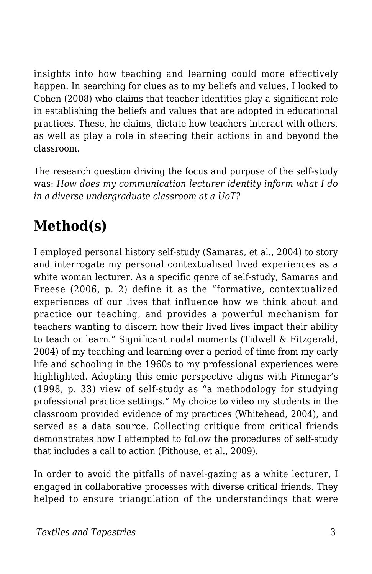insights into how teaching and learning could more effectively happen. In searching for clues as to my beliefs and values, I looked to Cohen (2008) who claims that teacher identities play a significant role in establishing the beliefs and values that are adopted in educational practices. These, he claims, dictate how teachers interact with others, as well as play a role in steering their actions in and beyond the classroom.

The research question driving the focus and purpose of the self-study was: *How does my communication lecturer identity inform what I do in a diverse undergraduate classroom at a UoT?*

## **Method(s)**

I employed personal history self-study (Samaras, et al., 2004) to story and interrogate my personal contextualised lived experiences as a white woman lecturer. As a specific genre of self-study, Samaras and Freese (2006, p. 2) define it as the "formative, contextualized experiences of our lives that influence how we think about and practice our teaching, and provides a powerful mechanism for teachers wanting to discern how their lived lives impact their ability to teach or learn." Significant nodal moments (Tidwell & Fitzgerald, 2004) of my teaching and learning over a period of time from my early life and schooling in the 1960s to my professional experiences were highlighted. Adopting this emic perspective aligns with Pinnegar's (1998, p. 33) view of self-study as "a methodology for studying professional practice settings." My choice to video my students in the classroom provided evidence of my practices (Whitehead, 2004), and served as a data source. Collecting critique from critical friends demonstrates how I attempted to follow the procedures of self-study that includes a call to action (Pithouse, et al., 2009).

In order to avoid the pitfalls of navel-gazing as a white lecturer, I engaged in collaborative processes with diverse critical friends. They helped to ensure triangulation of the understandings that were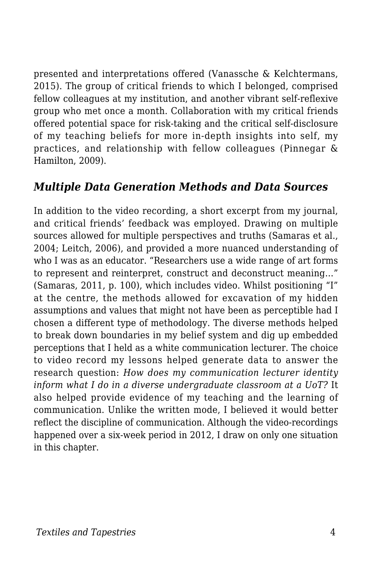presented and interpretations offered (Vanassche & Kelchtermans, 2015). The group of critical friends to which I belonged, comprised fellow colleagues at my institution, and another vibrant self-reflexive group who met once a month. Collaboration with my critical friends offered potential space for risk-taking and the critical self-disclosure of my teaching beliefs for more in-depth insights into self, my practices, and relationship with fellow colleagues (Pinnegar & Hamilton, 2009).

#### *Multiple Data Generation Methods and Data Sources*

In addition to the video recording, a short excerpt from my journal, and critical friends' feedback was employed. Drawing on multiple sources allowed for multiple perspectives and truths (Samaras et al., 2004; Leitch, 2006), and provided a more nuanced understanding of who I was as an educator. "Researchers use a wide range of art forms to represent and reinterpret, construct and deconstruct meaning…" (Samaras, 2011, p. 100), which includes video. Whilst positioning "I" at the centre, the methods allowed for excavation of my hidden assumptions and values that might not have been as perceptible had I chosen a different type of methodology. The diverse methods helped to break down boundaries in my belief system and dig up embedded perceptions that I held as a white communication lecturer. The choice to video record my lessons helped generate data to answer the research question: *How does my communication lecturer identity inform what I do in a diverse undergraduate classroom at a UoT?* It also helped provide evidence of my teaching and the learning of communication. Unlike the written mode, I believed it would better reflect the discipline of communication. Although the video-recordings happened over a six-week period in 2012, I draw on only one situation in this chapter.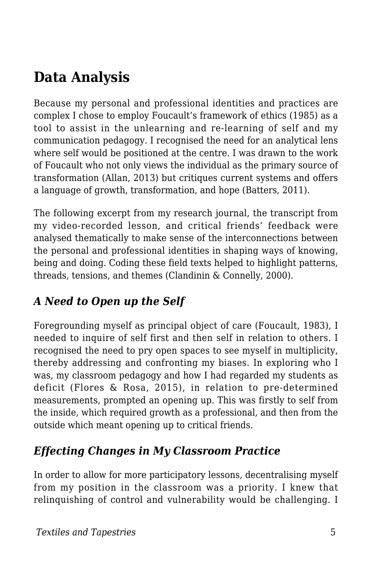# **Data Analysis**

Because my personal and professional identities and practices are complex I chose to employ Foucault's framework of ethics (1985) as a tool to assist in the unlearning and re-learning of self and my communication pedagogy. I recognised the need for an analytical lens where self would be positioned at the centre. I was drawn to the work of Foucault who not only views the individual as the primary source of transformation (Allan, 2013) but critiques current systems and offers a language of growth, transformation, and hope (Batters, 2011).

The following excerpt from my research journal, the transcript from my video-recorded lesson, and critical friends' feedback were analysed thematically to make sense of the interconnections between the personal and professional identities in shaping ways of knowing, being and doing. Coding these field texts helped to highlight patterns, threads, tensions, and themes (Clandinin & Connelly, 2000).

#### *A Need to Open up the Self*

Foregrounding myself as principal object of care (Foucault, 1983), I needed to inquire of self first and then self in relation to others. I recognised the need to pry open spaces to see myself in multiplicity, thereby addressing and confronting my biases. In exploring who I was, my classroom pedagogy and how I had regarded my students as deficit (Flores & Rosa, 2015), in relation to pre-determined measurements, prompted an opening up. This was firstly to self from the inside, which required growth as a professional, and then from the outside which meant opening up to critical friends.

#### *Effecting Changes in My Classroom Practice*

In order to allow for more participatory lessons, decentralising myself from my position in the classroom was a priority. I knew that relinquishing of control and vulnerability would be challenging. I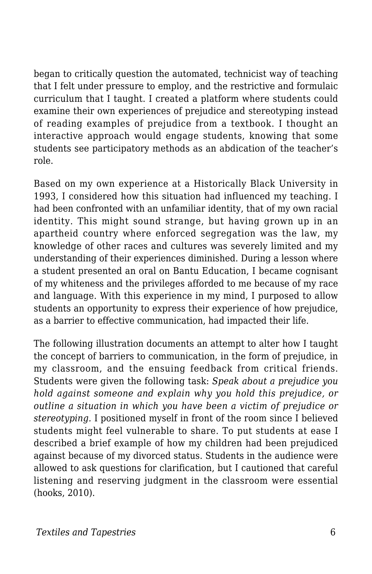began to critically question the automated, technicist way of teaching that I felt under pressure to employ, and the restrictive and formulaic curriculum that I taught. I created a platform where students could examine their own experiences of prejudice and stereotyping instead of reading examples of prejudice from a textbook. I thought an interactive approach would engage students, knowing that some students see participatory methods as an abdication of the teacher's role.

Based on my own experience at a Historically Black University in 1993, I considered how this situation had influenced my teaching. I had been confronted with an unfamiliar identity, that of my own racial identity. This might sound strange, but having grown up in an apartheid country where enforced segregation was the law, my knowledge of other races and cultures was severely limited and my understanding of their experiences diminished. During a lesson where a student presented an oral on Bantu Education, I became cognisant of my whiteness and the privileges afforded to me because of my race and language. With this experience in my mind, I purposed to allow students an opportunity to express their experience of how prejudice, as a barrier to effective communication, had impacted their life.

The following illustration documents an attempt to alter how I taught the concept of barriers to communication, in the form of prejudice, in my classroom, and the ensuing feedback from critical friends. Students were given the following task: *Speak about a prejudice you hold against someone and explain why you hold this prejudice, or outline a situation in which you have been a victim of prejudice or stereotyping.* I positioned myself in front of the room since I believed students might feel vulnerable to share. To put students at ease I described a brief example of how my children had been prejudiced against because of my divorced status. Students in the audience were allowed to ask questions for clarification, but I cautioned that careful listening and reserving judgment in the classroom were essential (hooks, 2010).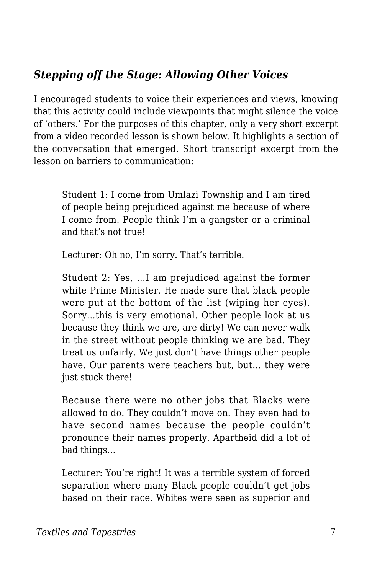#### *Stepping off the Stage: Allowing Other Voices*

I encouraged students to voice their experiences and views, knowing that this activity could include viewpoints that might silence the voice of 'others.' For the purposes of this chapter, only a very short excerpt from a video recorded lesson is shown below. It highlights a section of the conversation that emerged. Short transcript excerpt from the lesson on barriers to communication:

Student 1: I come from Umlazi Township and I am tired of people being prejudiced against me because of where I come from. People think I'm a gangster or a criminal and that's not true!

Lecturer: Oh no, I'm sorry. That's terrible.

Student 2: Yes, …I am prejudiced against the former white Prime Minister. He made sure that black people were put at the bottom of the list (wiping her eyes). Sorry…this is very emotional. Other people look at us because they think we are, are dirty! We can never walk in the street without people thinking we are bad. They treat us unfairly. We just don't have things other people have. Our parents were teachers but, but… they were just stuck there!

Because there were no other jobs that Blacks were allowed to do. They couldn't move on. They even had to have second names because the people couldn't pronounce their names properly. Apartheid did a lot of bad things…

Lecturer: You're right! It was a terrible system of forced separation where many Black people couldn't get jobs based on their race. Whites were seen as superior and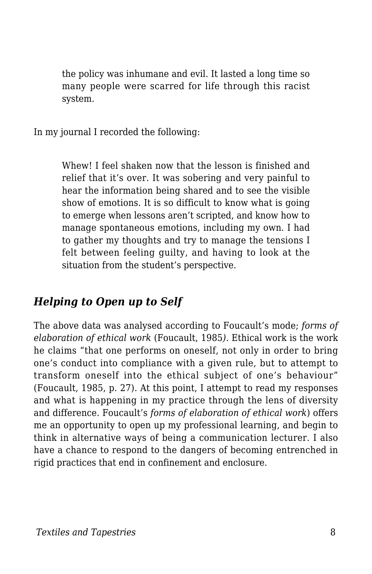the policy was inhumane and evil. It lasted a long time so many people were scarred for life through this racist system.

In my journal I recorded the following:

Whew! I feel shaken now that the lesson is finished and relief that it's over. It was sobering and very painful to hear the information being shared and to see the visible show of emotions. It is so difficult to know what is going to emerge when lessons aren't scripted, and know how to manage spontaneous emotions, including my own. I had to gather my thoughts and try to manage the tensions I felt between feeling guilty, and having to look at the situation from the student's perspective.

#### *Helping to Open up to Self*

The above data was analysed according to Foucault's mode; *forms of elaboration of ethical work* (Foucault, 1985*)*. Ethical work is the work he claims "that one performs on oneself, not only in order to bring one's conduct into compliance with a given rule, but to attempt to transform oneself into the ethical subject of one's behaviour" (Foucault, 1985, p. 27). At this point, I attempt to read my responses and what is happening in my practice through the lens of diversity and difference. Foucault's *forms of elaboration of ethical work*) offers me an opportunity to open up my professional learning, and begin to think in alternative ways of being a communication lecturer. I also have a chance to respond to the dangers of becoming entrenched in rigid practices that end in confinement and enclosure.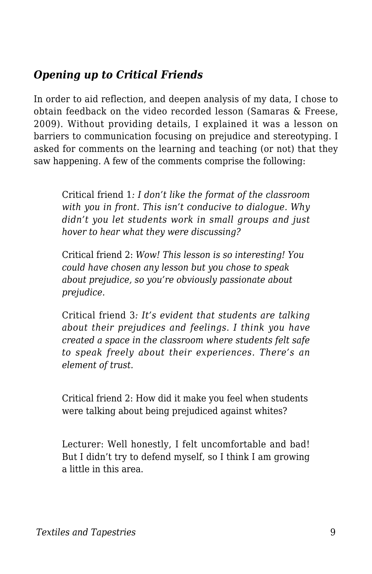#### *Opening up to Critical Friends*

In order to aid reflection, and deepen analysis of my data, I chose to obtain feedback on the video recorded lesson (Samaras & Freese, 2009). Without providing details, I explained it was a lesson on barriers to communication focusing on prejudice and stereotyping. I asked for comments on the learning and teaching (or not) that they saw happening. A few of the comments comprise the following:

Critical friend 1*: I don't like the format of the classroom with you in front. This isn't conducive to dialogue. Why didn't you let students work in small groups and just hover to hear what they were discussing?*

Critical friend 2: *Wow! This lesson is so interesting! You could have chosen any lesson but you chose to speak about prejudice, so you're obviously passionate about prejudice.*

Critical friend 3*: It's evident that students are talking about their prejudices and feelings. I think you have created a space in the classroom where students felt safe to speak freely about their experiences. There's an element of trust.*

Critical friend 2: How did it make you feel when students were talking about being prejudiced against whites?

Lecturer: Well honestly, I felt uncomfortable and bad! But I didn't try to defend myself, so I think I am growing a little in this area.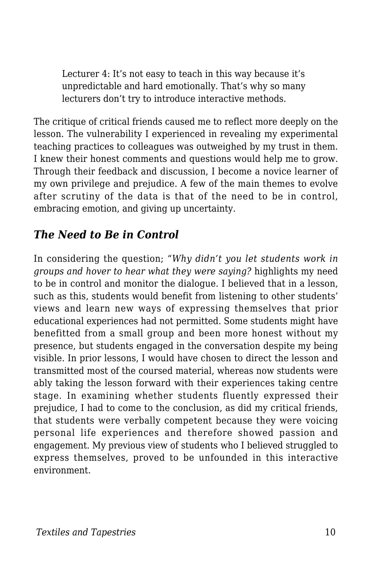Lecturer 4: It's not easy to teach in this way because it's unpredictable and hard emotionally. That's why so many lecturers don't try to introduce interactive methods.

The critique of critical friends caused me to reflect more deeply on the lesson. The vulnerability I experienced in revealing my experimental teaching practices to colleagues was outweighed by my trust in them. I knew their honest comments and questions would help me to grow. Through their feedback and discussion, I become a novice learner of my own privilege and prejudice. A few of the main themes to evolve after scrutiny of the data is that of the need to be in control, embracing emotion, and giving up uncertainty.

#### *The Need to Be in Control*

In considering the question; "*Why didn't you let students work in groups and hover to hear what they were saying?* highlights my need to be in control and monitor the dialogue. I believed that in a lesson, such as this, students would benefit from listening to other students' views and learn new ways of expressing themselves that prior educational experiences had not permitted. Some students might have benefitted from a small group and been more honest without my presence, but students engaged in the conversation despite my being visible. In prior lessons, I would have chosen to direct the lesson and transmitted most of the coursed material, whereas now students were ably taking the lesson forward with their experiences taking centre stage. In examining whether students fluently expressed their prejudice, I had to come to the conclusion, as did my critical friends, that students were verbally competent because they were voicing personal life experiences and therefore showed passion and engagement. My previous view of students who I believed struggled to express themselves, proved to be unfounded in this interactive environment.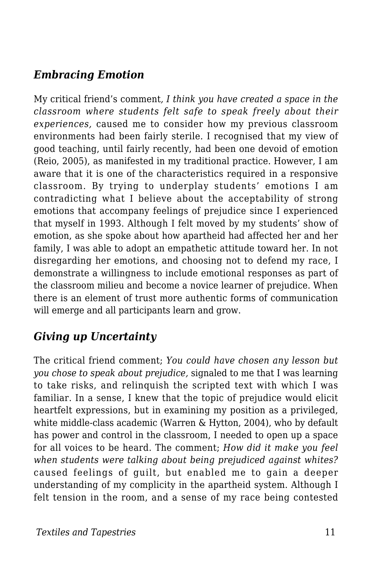#### *Embracing Emotion*

My critical friend's comment*, I think you have created a space in the classroom where students felt safe to speak freely about their experiences,* caused me to consider how my previous classroom environments had been fairly sterile*.* I recognised that my view of good teaching, until fairly recently, had been one devoid of emotion (Reio, 2005), as manifested in my traditional practice. However, I am aware that it is one of the characteristics required in a responsive classroom. By trying to underplay students' emotions I am contradicting what I believe about the acceptability of strong emotions that accompany feelings of prejudice since I experienced that myself in 1993. Although I felt moved by my students' show of emotion, as she spoke about how apartheid had affected her and her family, I was able to adopt an empathetic attitude toward her. In not disregarding her emotions, and choosing not to defend my race, I demonstrate a willingness to include emotional responses as part of the classroom milieu and become a novice learner of prejudice. When there is an element of trust more authentic forms of communication will emerge and all participants learn and grow.

#### *Giving up Uncertainty*

The critical friend comment; *You could have chosen any lesson but you chose to speak about prejudice,* signaled to me that I was learning to take risks, and relinquish the scripted text with which I was familiar. In a sense, I knew that the topic of prejudice would elicit heartfelt expressions, but in examining my position as a privileged, white middle-class academic (Warren & Hytton, 2004), who by default has power and control in the classroom, I needed to open up a space for all voices to be heard. The comment; *How did it make you feel when students were talking about being prejudiced against whites?* caused feelings of guilt, but enabled me to gain a deeper understanding of my complicity in the apartheid system. Although I felt tension in the room, and a sense of my race being contested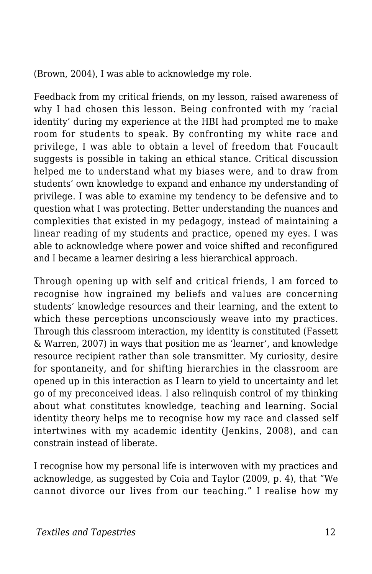(Brown, 2004), I was able to acknowledge my role.

Feedback from my critical friends, on my lesson, raised awareness of why I had chosen this lesson. Being confronted with my 'racial identity' during my experience at the HBI had prompted me to make room for students to speak. By confronting my white race and privilege, I was able to obtain a level of freedom that Foucault suggests is possible in taking an ethical stance. Critical discussion helped me to understand what my biases were, and to draw from students' own knowledge to expand and enhance my understanding of privilege. I was able to examine my tendency to be defensive and to question what I was protecting. Better understanding the nuances and complexities that existed in my pedagogy, instead of maintaining a linear reading of my students and practice, opened my eyes. I was able to acknowledge where power and voice shifted and reconfigured and I became a learner desiring a less hierarchical approach.

Through opening up with self and critical friends, I am forced to recognise how ingrained my beliefs and values are concerning students' knowledge resources and their learning, and the extent to which these perceptions unconsciously weave into my practices. Through this classroom interaction, my identity is constituted (Fassett & Warren, 2007) in ways that position me as 'learner', and knowledge resource recipient rather than sole transmitter. My curiosity, desire for spontaneity, and for shifting hierarchies in the classroom are opened up in this interaction as I learn to yield to uncertainty and let go of my preconceived ideas. I also relinquish control of my thinking about what constitutes knowledge, teaching and learning. Social identity theory helps me to recognise how my race and classed self intertwines with my academic identity (Jenkins, 2008), and can constrain instead of liberate.

I recognise how my personal life is interwoven with my practices and acknowledge, as suggested by Coia and Taylor (2009, p. 4), that "We cannot divorce our lives from our teaching." I realise how my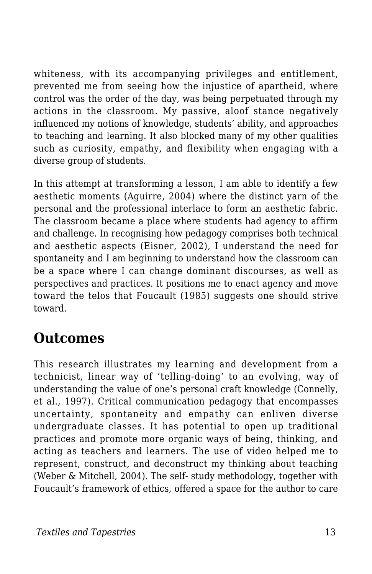whiteness, with its accompanying privileges and entitlement, prevented me from seeing how the injustice of apartheid, where control was the order of the day, was being perpetuated through my actions in the classroom. My passive, aloof stance negatively influenced my notions of knowledge, students' ability, and approaches to teaching and learning. It also blocked many of my other qualities such as curiosity, empathy, and flexibility when engaging with a diverse group of students.

In this attempt at transforming a lesson, I am able to identify a few aesthetic moments (Aguirre, 2004) where the distinct yarn of the personal and the professional interlace to form an aesthetic fabric. The classroom became a place where students had agency to affirm and challenge. In recognising how pedagogy comprises both technical and aesthetic aspects (Eisner, 2002), I understand the need for spontaneity and I am beginning to understand how the classroom can be a space where I can change dominant discourses, as well as perspectives and practices. It positions me to enact agency and move toward the telos that Foucault (1985) suggests one should strive toward.

### **Outcomes**

This research illustrates my learning and development from a technicist, linear way of 'telling-doing' to an evolving, way of understanding the value of one's personal craft knowledge (Connelly, et al., 1997). Critical communication pedagogy that encompasses uncertainty, spontaneity and empathy can enliven diverse undergraduate classes. It has potential to open up traditional practices and promote more organic ways of being, thinking, and acting as teachers and learners. The use of video helped me to represent, construct, and deconstruct my thinking about teaching (Weber & Mitchell, 2004). The self- study methodology, together with Foucault's framework of ethics, offered a space for the author to care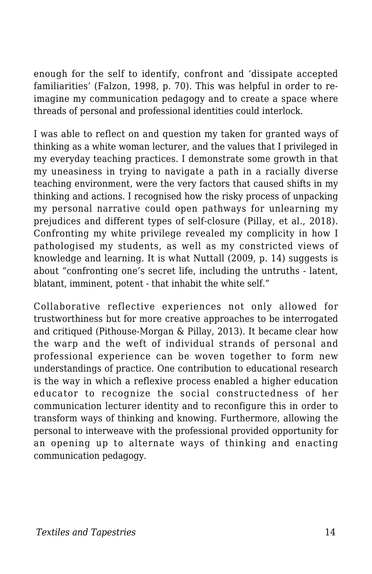enough for the self to identify, confront and 'dissipate accepted familiarities' (Falzon, 1998, p. 70). This was helpful in order to reimagine my communication pedagogy and to create a space where threads of personal and professional identities could interlock.

I was able to reflect on and question my taken for granted ways of thinking as a white woman lecturer, and the values that I privileged in my everyday teaching practices. I demonstrate some growth in that my uneasiness in trying to navigate a path in a racially diverse teaching environment, were the very factors that caused shifts in my thinking and actions. I recognised how the risky process of unpacking my personal narrative could open pathways for unlearning my prejudices and different types of self-closure (Pillay, et al., 2018). Confronting my white privilege revealed my complicity in how I pathologised my students, as well as my constricted views of knowledge and learning. It is what Nuttall (2009, p. 14) suggests is about "confronting one's secret life, including the untruths - latent, blatant, imminent, potent - that inhabit the white self."

Collaborative reflective experiences not only allowed for trustworthiness but for more creative approaches to be interrogated and critiqued (Pithouse-Morgan & Pillay, 2013). It became clear how the warp and the weft of individual strands of personal and professional experience can be woven together to form new understandings of practice. One contribution to educational research is the way in which a reflexive process enabled a higher education educator to recognize the social constructedness of her communication lecturer identity and to reconfigure this in order to transform ways of thinking and knowing. Furthermore, allowing the personal to interweave with the professional provided opportunity for an opening up to alternate ways of thinking and enacting communication pedagogy.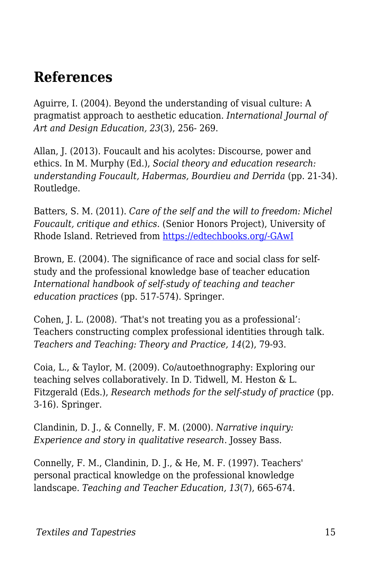### **References**

Aguirre, I. (2004). Beyond the understanding of visual culture: A pragmatist approach to aesthetic education. *International Journal of Art and Design Education, 23*(3), 256- 269.

Allan, J. (2013). Foucault and his acolytes: Discourse, power and ethics. In M. Murphy (Ed.), *Social theory and education research: understanding Foucault, Habermas, Bourdieu and Derrida* (pp. 21-34). Routledge.

Batters, S. M. (2011). *Care of the self and the will to freedom: Michel Foucault, critique and ethics.* (Senior Honors Project), University of Rhode Island. Retrieved from [https://edtechbooks.org/-GAwI](http://digitalcommons.uri.edu/cgi/viewcontent.cgi?article=241&context=srhonorsprog)

Brown, E. (2004). The significance of race and social class for selfstudy and the professional knowledge base of teacher education *International handbook of self-study of teaching and teacher education practices* (pp. 517-574). Springer.

Cohen, J. L. (2008). 'That's not treating you as a professional': Teachers constructing complex professional identities through talk. *Teachers and Teaching: Theory and Practice, 14*(2), 79-93.

Coia, L., & Taylor, M. (2009). Co/autoethnography: Exploring our teaching selves collaboratively. In D. Tidwell, M. Heston & L. Fitzgerald (Eds.), *Research methods for the self-study of practice* (pp. 3-16). Springer.

Clandinin, D. J., & Connelly, F. M. (2000). *Narrative inquiry: Experience and story in qualitative research*. Jossey Bass.

Connelly, F. M., Clandinin, D. J., & He, M. F. (1997). Teachers' personal practical knowledge on the professional knowledge landscape. *Teaching and Teacher Education, 13*(7), 665-674.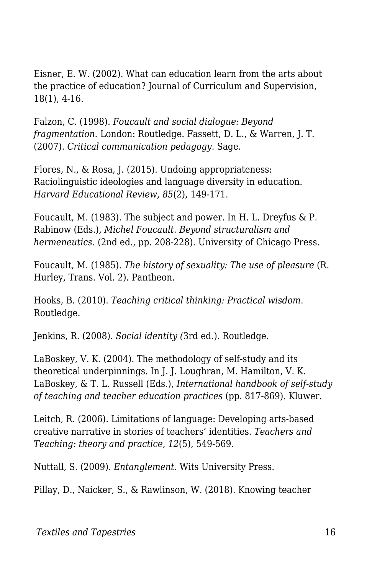Eisner, E. W. (2002). What can education learn from the arts about the practice of education? Journal of Curriculum and Supervision, 18(1), 4-16.

Falzon, C. (1998). *Foucault and social dialogue: Beyond fragmentation*. London: Routledge. Fassett, D. L., & Warren, J. T. (2007). *Critical communication pedagogy*. Sage.

Flores, N., & Rosa, J. (2015). Undoing appropriateness: Raciolinguistic ideologies and language diversity in education. *Harvard Educational Review, 85*(2), 149-171.

Foucault, M. (1983). The subject and power. In H. L. Dreyfus & P. Rabinow (Eds.), *Michel Foucault. Beyond structuralism and hermeneutics.* (2nd ed., pp. 208-228). University of Chicago Press.

Foucault, M. (1985). *The history of sexuality: The use of pleasure* (R. Hurley, Trans. Vol. 2). Pantheon.

Hooks, B. (2010). *Teaching critical thinking: Practical wisdom*. Routledge.

Jenkins, R. (2008). *Social identity (*3rd ed.). Routledge.

LaBoskey, V. K. (2004). The methodology of self-study and its theoretical underpinnings. In J. J. Loughran, M. Hamilton, V. K. LaBoskey, & T. L. Russell (Eds.), *International handbook of self-study of teaching and teacher education practices* (pp. 817-869). Kluwer.

Leitch, R. (2006). Limitations of language: Developing arts-based creative narrative in stories of teachers' identities. *Teachers and Teaching: theory and practice*, *12*(5), 549-569.

Nuttall, S. (2009). *Entanglement.* Wits University Press.

Pillay, D., Naicker, S., & Rawlinson, W. (2018). Knowing teacher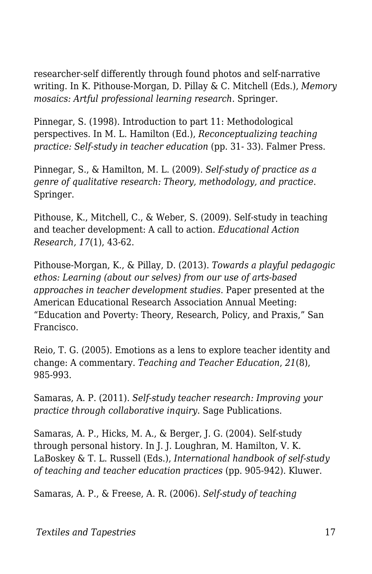researcher-self differently through found photos and self-narrative writing. In K. Pithouse-Morgan, D. Pillay & C. Mitchell (Eds.), *Memory mosaics: Artful professional learning research*. Springer.

Pinnegar, S. (1998). Introduction to part 11: Methodological perspectives. In M. L. Hamilton (Ed.), *Reconceptualizing teaching practice: Self-study in teacher education* (pp. 31- 33). Falmer Press.

Pinnegar, S., & Hamilton, M. L. (2009). *Self-study of practice as a genre of qualitative research: Theory, methodology, and practice*. Springer.

Pithouse, K., Mitchell, C., & Weber, S. (2009). Self-study in teaching and teacher development: A call to action. *Educational Action Research, 17*(1), 43-62.

Pithouse-Morgan, K., & Pillay, D. (2013). *Towards a playful pedagogic ethos: Learning (about our selves) from our use of arts-based approaches in teacher development studies*. Paper presented at the American Educational Research Association Annual Meeting: "Education and Poverty: Theory, Research, Policy, and Praxis," San Francisco.

Reio, T. G. (2005). Emotions as a lens to explore teacher identity and change: A commentary. *Teaching and Teacher Education*, *21*(8), 985-993.

Samaras, A. P. (2011). *Self-study teacher research: Improving your practice through collaborative inquiry*. Sage Publications.

Samaras, A. P., Hicks, M. A., & Berger, J. G. (2004). Self-study through personal history. In J. J. Loughran, M. Hamilton, V. K. LaBoskey & T. L. Russell (Eds.), *International handbook of self-study of teaching and teacher education practices* (pp. 905-942). Kluwer.

Samaras, A. P., & Freese, A. R. (2006). *Self-study of teaching*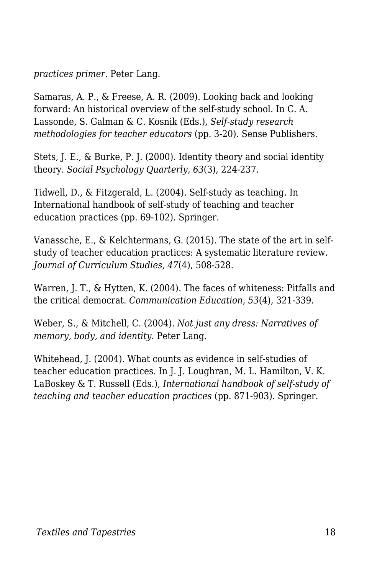*practices primer*. Peter Lang.

Samaras, A. P., & Freese, A. R. (2009). Looking back and looking forward: An historical overview of the self-study school. In C. A. Lassonde, S. Galman & C. Kosnik (Eds.), *Self-study research methodologies for teacher educators* (pp. 3-20). Sense Publishers.

Stets, J. E., & Burke, P. J. (2000). Identity theory and social identity theory. *Social Psychology Quarterly, 63*(3), 224-237.

Tidwell, D., & Fitzgerald, L. (2004). Self-study as teaching. In International handbook of self-study of teaching and teacher education practices (pp. 69-102). Springer.

Vanassche, E., & Kelchtermans, G. (2015). The state of the art in selfstudy of teacher education practices: A systematic literature review. *Journal of Curriculum Studies, 47*(4), 508-528.

Warren, J. T., & Hytten, K. (2004). The faces of whiteness: Pitfalls and the critical democrat. *Communication Education*, *53*(4), 321-339.

Weber, S., & Mitchell, C. (2004). *Not just any dress: Narratives of memory, body, and identity*. Peter Lang.

Whitehead, J. (2004). What counts as evidence in self-studies of teacher education practices. In J. J. Loughran, M. L. Hamilton, V. K. LaBoskey & T. Russell (Eds.), *International handbook of self-study of teaching and teacher education practices* (pp. 871-903). Springer.